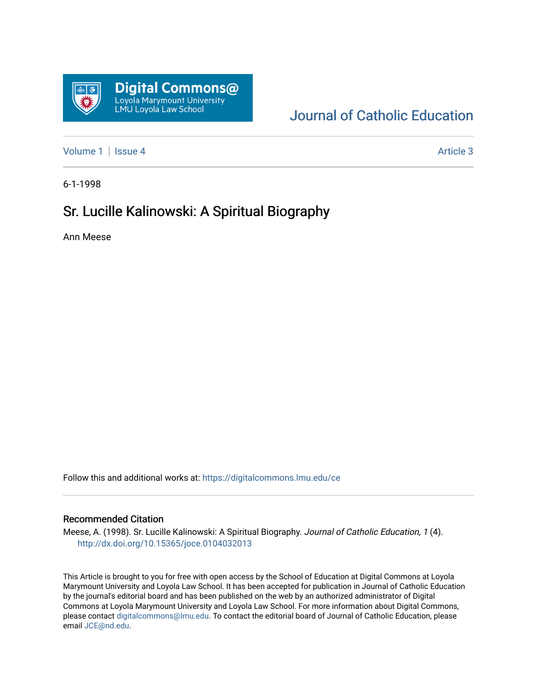

## [Journal of Catholic Education](https://digitalcommons.lmu.edu/ce)

[Volume 1](https://digitalcommons.lmu.edu/ce/vol1) | [Issue 4](https://digitalcommons.lmu.edu/ce/vol1/iss4) Article 3

6-1-1998

### Sr. Lucille Kalinowski: A Spiritual Biography

Ann Meese

Follow this and additional works at: [https://digitalcommons.lmu.edu/ce](https://digitalcommons.lmu.edu/ce?utm_source=digitalcommons.lmu.edu%2Fce%2Fvol1%2Fiss4%2F3&utm_medium=PDF&utm_campaign=PDFCoverPages)

#### Recommended Citation

Meese, A. (1998). Sr. Lucille Kalinowski: A Spiritual Biography. Journal of Catholic Education, 1 (4). <http://dx.doi.org/10.15365/joce.0104032013>

This Article is brought to you for free with open access by the School of Education at Digital Commons at Loyola Marymount University and Loyola Law School. It has been accepted for publication in Journal of Catholic Education by the journal's editorial board and has been published on the web by an authorized administrator of Digital Commons at Loyola Marymount University and Loyola Law School. For more information about Digital Commons, please contact [digitalcommons@lmu.edu](mailto:digitalcommons@lmu.edu). To contact the editorial board of Journal of Catholic Education, please email [JCE@nd.edu](mailto:JCE@nd.edu).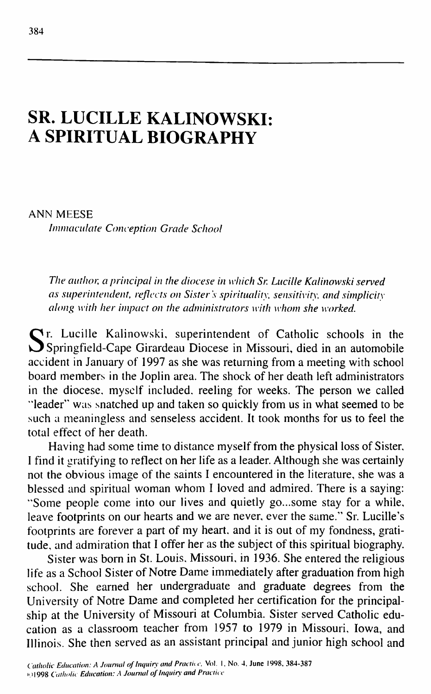# **SR. LUCILLE KALINOWSKI: A SPIRITUAL BIOGRAPHY**

ANN MEESE *Immaculate Conception Grade School* 

*The author, a principal in the diocese in which Sr. Lucille Kalinowski served as superintendent, reflects on Sister's spirituality, sensitivity, and simplicity along with her impact on the administrators with whom she worked.*

Sr. Lucille Kalinowski, superintendent of Catholic schools in the Springfield-Cape Girardeau Diocese in Missouri, died in an automobile r. Lucille Kalinowski, superintendent of Catholic schools in the accident in January of 1997 as she was returning from a meeting with school board members in the Joplin area. The shock of her death left administrators in the diocese, myself included, reeling for weeks. The person we called "leader" was snatched up and taken so quickly from us in what seemed to be such a meaningless and senseless accident. It took months for us to feel the total effect of her death.

Having had some time to distance myself from the physical loss of Sister, I find it gratifying to reflect on her life as a leader. Although she was certainly not the obvious image of the saints I encountered in the literature, she was a blessed and spiritual woman whom I loved and admired. There is a saying: "Some people come into our lives and quietly go...some stay for a while, leave footprints on our hearts and we are never, ever the same." Sr. Lucille's footprints are forever a part of my heart, and it is out of my fondness, gratitude, and admiration that I offer her as the subject of this spiritual biography.

Sister was born in St. Louis, Missouri, in 1936. She entered the religious life as a School Sister of Notre Dame immediately after graduation from high school. She earned her undergraduate and graduate degrees from the University of Notre Dame and completed her certification for the principalship at the University of Missouri at Columbia. Sister served Catholic education as a classroom teacher from 1957 to 1979 in Missouri, Iowa, and Illinois. She then served as an assistant principal and junior high school and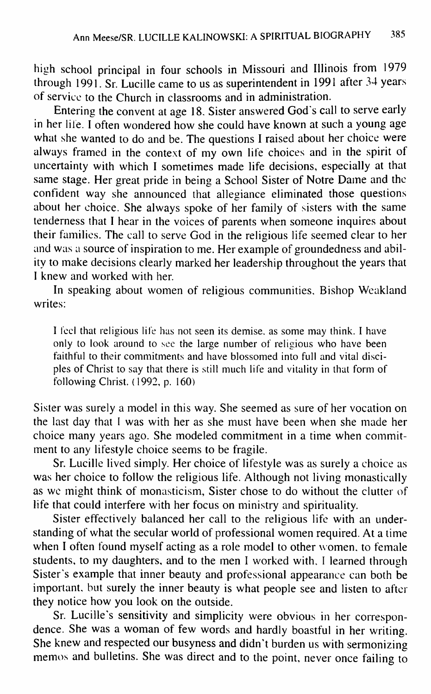high school principal in four schools in Missouri and Illinois from 1979 through 1991. Sr. Lucille came to us as superintendent in 1991 after 34 years of service to the Church in classrooms and in administration.

Entering the convent at age 18. Sister answered God's call to serve early in her life. I often wondered how she could have known at such a young age what she wanted to do and be. The questions I raised about her choice were always framed in the context of my own life choices and in the spirit of uncertainty with which I sometimes made life decisions, especially at that same stage. Her great pride in being a School Sister of Notre Dame and the confident way she announced that allegiance eliminated those questions about her choice. She always spoke of her family of sisters with the same tenderness that I hear in the voices of parents when someone inquires about their families. The call to serve God in the religious life seemed clear to her and was a source of inspiration to me. Her example of groundedness and ability to make decisions clearly marked her leadership throughout the years that I knew and worked with her.

In speaking about women of religious communities. Bishop Weakland writes:

I feel that religious life has not seen its demise, as some may think. I have only to look around to see the large number of religious who have been faithful to their commitments and have blossomed into full and vital disciples of Christ to say that there is still much life and vitality in that form of following Christ. (1992, p. 160)

Sister was surely a model in this way. She seemed as sure of her vocation on the last day that I was with her as she must have been when she made her choice many years ago. She modeled commitment in a time when commitment to any lifestyle choice seems to be fragile.

Sr. Lucille lived simply. Her choice of lifestyle was as surely a choice as was her choice to follow the religious life. Although not living monastically as we might think of monasticism. Sister chose to do without the clutter of life that could interfere with her focus on ministry and spirituality.

Sister effectively balanced her call to the religious life with an understanding of what the secular world of professional women required. At a time when I often found myself acting as a role model to other women, to female students, to my daughters, and to the men I worked with, I learned through Sister's example that inner beauty and professional appearance can both be important, but surely the inner beauty is what people see and listen to after they notice how you look on the outside.

Sr. Lucille's sensitivity and simplicity were obvious in her correspondence. She was a woman of few words and hardly boastful in her writing. She knew and respected our busyness and didn't burden us with sermonizing memos and bulletins. She was direct and to the point, never once failing to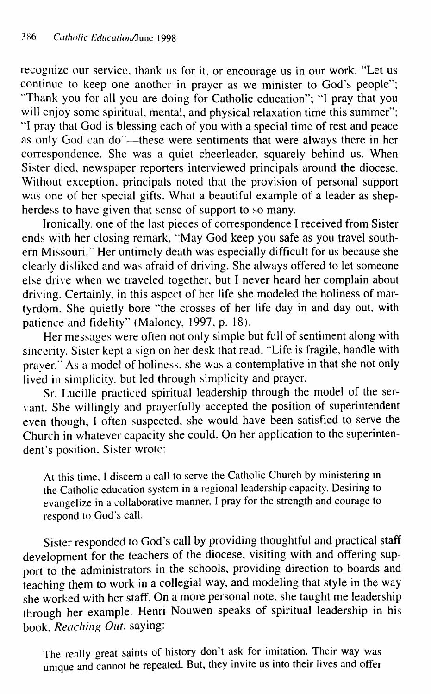recognize our service, thank us for it, or encourage us in our work. "Let us continue to keep one another in prayer as we minister to God's people"; "Thank you for all you are doing for Catholic education"; "I pray that you will enjoy some spiritual, mental, and physical relaxation time this summer"; "I pray that God is blessing each of you with a special time of rest and peace as only God can do'—these were sentiments that were always there in her correspondence. She was a quiet cheerleader, squarely behind us. When Sister died, newspaper reporters interviewed principals around the diocese. Without exception, principals noted that the provision of personal support was one of her special gifts. What a beautiful example of a leader as shepherdess to have given that sense of support to so many.

Ironically, one of the last pieces of correspondence I received from Sister ends with her closing remark, "May God keep you safe as you travel southern Missouri." Her untimely death was especially difficult for us because she clearly disliked and was afraid ot driving. She always offered to let someone else drive when we traveled together, but I never heard her complain about driving. Certainly, in this aspect of her life she modeled the holiness of martyrdom. She quietly bore "the crosses of her life day in and day out, with patience and fidelity" (Maloney, 1997, p. 18).

Her messages were often not only simple but full of sentiment along with sincerity. Sister kept a sign on her desk that read, "Life is fragile, handle with prayer." As a model of holiness, she was a contemplative in that she not only lived in simplicity, but led through simplicity and prayer.

Sr. Lucille practiced spiritual leadership through the model of the servant. She willingly and prayerfully accepted the position of superintendent even though, 1 often suspected, she would have been satisfied to serve the Church in whatever capacity she could. On her application to the superintendent's position. Sister wrote:

At this time, I discern a call to serve the Catholic Church by ministering in the Catholic education system in a regional leadership capacity. Desiring to evangelize in a collaborative manner. I pray for the strength and courage to respond to God's call.

Sister responded to God's call by providing thoughtful and practical staff development for the teachers of the diocese, visiting with and offering support to the administrators in the schools, providing direction to boards and teaching them to work in a collegial way, and modeling that style in the way she worked with her staff. On a more personal note, she taught me leadership through her example. Henri Nouwen speaks of spiritual leadership in his book. *Reaching Out,* saying:

The really great saints of history don't ask for imitation. Their way was unique and cannot be repeated. But, they invite us into their lives and offer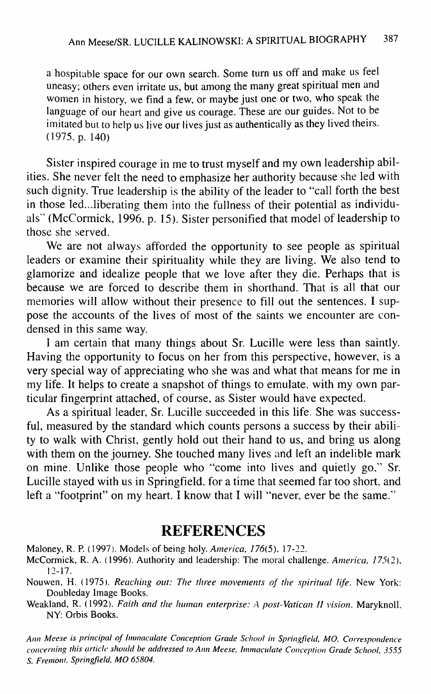a hospitable space for our own search. Some turn us off and make us feel uneasy; others even irritate us, but among the many great spiritual men and women in history, we find a few, or maybe just one or two, who speak the language of our heart and give us courage. These are our guides. Not to be imitated but to help us live our lives just as authentically as they lived theirs. (1975, p. 140)

Sister inspired courage in me to trust myself and my own leadership abilities. She never felt the need to emphasize her authority because she led with such dignity. True leadership is the ability of the leader to "call forth the best in those led...liberating them into the fullness of their potential as individuals" (McCormick, 1996, p. 15). Sister personified that model of leadership to those she served.

We are not always afforded the opportunity to see people as spiritual leaders or examine their spirituality while they are living. We also tend to glamorize and idealize people that we love after they die. Perhaps that is because we are forced to describe them in shorthand. That is all that our memories will allow without their presence to fill out the sentences. I suppose the accounts of the lives of most of the saints we encounter are condensed in this same way.

I am certain that many things about Sr. Lucille were less than saintly. Having the opportunity to focus on her from this perspective, however, is a very special way of appreciating who she was and what that means for me in my life. It helps to create a snapshot of things to emulate, with my own particular fingerprint attached, of course, as Sister would have expected.

As a spiritual leader, Sr. Lucille succeeded in this life. She was successful, measured by the standard which counts persons a success by their ability to walk with Christ, gently hold out their hand to us, and bring us along with them on the journey. She touched many lives and left an indelible mark on mine. Unlike those people who "come into lives and quietly go," Sr. Lucille stayed with us in Springfield, for a time that seemed far too short, and left a "footprint" on my heart. I know that I will "never, ever be the same."

## **REFERENCES**

Maloney, R. P. (1997). Models of being holy. America, 176(5), 17-22.

- McCormick, R. A. (1996). Authority and leadership: The moral challenge. *America,* 775(2), 12-17.
- Nouwen, H. (1975). *Reaching out: The three movements of the spiritual life.* New York: Doubleday Image Books.

Weakland, R. (1992). Faith and the human enterprise: A post-Vatican II vision. Maryknoll, NY: Orbis Books.

Ann Meese is principal of Immaculate Conception Grade School in Springfield, MO. Correspondence *eoneerning this article should be addressed to Ann Meese, Immaeulate Conception Grade School, 3555 S. Fremont, Springfield, MO 65804.*